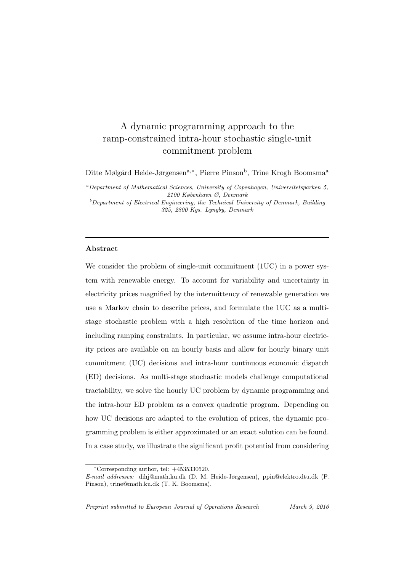# A dynamic programming approach to the ramp-constrained intra-hour stochastic single-unit commitment problem

Ditte Mølgård Heide-Jørgensen<sup>a,∗</sup>, Pierre Pinson<sup>b</sup>, Trine Krogh Boomsma<sup>a</sup>

<sup>a</sup>Department of Mathematical Sciences, University of Copenhagen, Universitetsparken 5, 2100 København Ø, Denmark

 $b$ Department of Electrical Engineering, the Technical University of Denmark, Building 325, 2800 Kgs. Lyngby, Denmark

## Abstract

We consider the problem of single-unit commitment (1UC) in a power system with renewable energy. To account for variability and uncertainty in electricity prices magnified by the intermittency of renewable generation we use a Markov chain to describe prices, and formulate the 1UC as a multistage stochastic problem with a high resolution of the time horizon and including ramping constraints. In particular, we assume intra-hour electricity prices are available on an hourly basis and allow for hourly binary unit commitment (UC) decisions and intra-hour continuous economic dispatch (ED) decisions. As multi-stage stochastic models challenge computational tractability, we solve the hourly UC problem by dynamic programming and the intra-hour ED problem as a convex quadratic program. Depending on how UC decisions are adapted to the evolution of prices, the dynamic programming problem is either approximated or an exact solution can be found. In a case study, we illustrate the significant profit potential from considering

<sup>∗</sup>Corresponding author, tel: +4535330520.

E-mail addresses: dihj@math.ku.dk (D. M. Heide-Jørgensen), ppin@elektro.dtu.dk (P. Pinson), trine@math.ku.dk (T. K. Boomsma).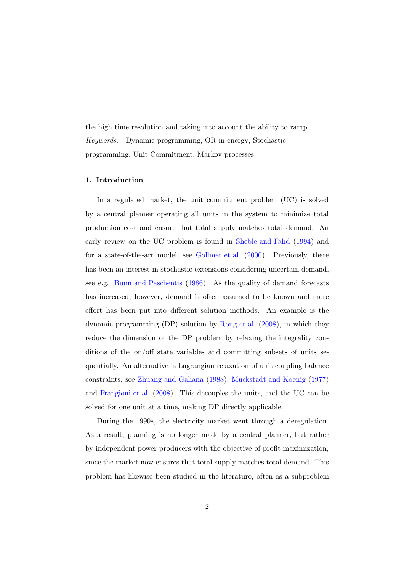the high time resolution and taking into account the ability to ramp. *Keywords:* Dynamic programming, OR in energy, Stochastic programming, Unit Commitment, Markov processes

## <span id="page-1-0"></span>1. Introduction

In a regulated market, the unit commitment problem (UC) is solved by a central planner operating all units in the system to minimize total production cost and ensure that total supply matches total demand. An early review on the UC problem is found in [Sheble and Fahd](#page-29-0) [\(1994\)](#page-29-0) and for a state-of-the-art model, see [Gollmer et al.](#page-29-1) [\(2000\)](#page-29-1). Previously, there has been an interest in stochastic extensions considering uncertain demand, see e.g. [Bunn and Paschentis](#page-29-2) [\(1986](#page-29-2)). As the quality of demand forecasts has increased, however, demand is often assumed to be known and more effort has been put into different solution methods. An example is the dynamic programming (DP) solution by [Rong et al.](#page-29-3) [\(2008](#page-29-3)), in which they reduce the dimension of the DP problem by relaxing the integrality conditions of the on/off state variables and committing subsets of units sequentially. An alternative is Lagrangian relaxation of unit coupling balance constraints, see [Zhuang and Galiana](#page-29-4) [\(1988\)](#page-29-4), [Muckstadt and Koenig](#page-29-5) [\(1977](#page-29-5)) and [Frangioni et al.](#page-29-6) [\(2008\)](#page-29-6). This decouples the units, and the UC can be solved for one unit at a time, making DP directly applicable.

During the 1990s, the electricity market went through a deregulation. As a result, planning is no longer made by a central planner, but rather by independent power producers with the objective of profit maximization, since the market now ensures that total supply matches total demand. This problem has likewise been studied in the literature, often as a subproblem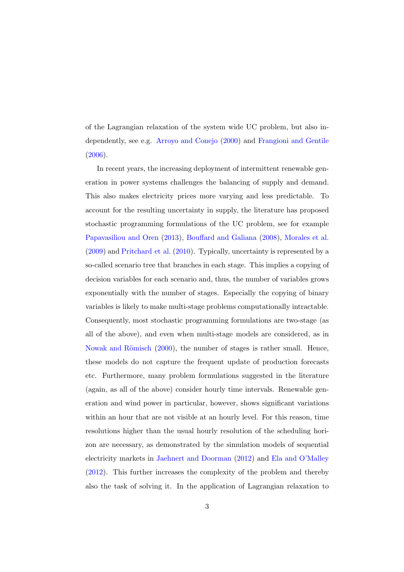of the Lagrangian relaxation of the system wide UC problem, but also independently, see e.g. [Arroyo and Conejo](#page-30-0) [\(2000](#page-30-0)) and [Frangioni and Gentile](#page-30-1) [\(2006\)](#page-30-1).

In recent years, the increasing deployment of intermittent renewable generation in power systems challenges the balancing of supply and demand. This also makes electricity prices more varying and less predictable. To account for the resulting uncertainty in supply, the literature has proposed stochastic programming formulations of the UC problem, see for example [Papavasiliou and Oren](#page-30-2) [\(2013](#page-30-2)), [Bouffard and Galiana](#page-30-3) [\(2008](#page-30-3)), [Morales et al.](#page-30-4) [\(2009\)](#page-30-4) and [Pritchard et al.](#page-30-5) [\(2010](#page-30-5)). Typically, uncertainty is represented by a so-called scenario tree that branches in each stage. This implies a copying of decision variables for each scenario and, thus, the number of variables grows exponentially with the number of stages. Especially the copying of binary variables is likely to make multi-stage problems computationally intractable. Consequently, most stochastic programming formulations are two-stage (as all of the above), and even when multi-stage models are considered, as in Nowak and Römisch [\(2000\)](#page-31-0), the number of stages is rather small. Hence, these models do not capture the frequent update of production forecasts etc. Furthermore, many problem formulations suggested in the literature (again, as all of the above) consider hourly time intervals. Renewable generation and wind power in particular, however, shows significant variations within an hour that are not visible at an hourly level. For this reason, time resolutions higher than the usual hourly resolution of the scheduling horizon are necessary, as demonstrated by the simulation models of sequential electricity markets in [Jaehnert and Doorman](#page-31-1) [\(2012\)](#page-31-1) and [Ela and O'Malley](#page-31-2) [\(2012\)](#page-31-2). This further increases the complexity of the problem and thereby also the task of solving it. In the application of Lagrangian relaxation to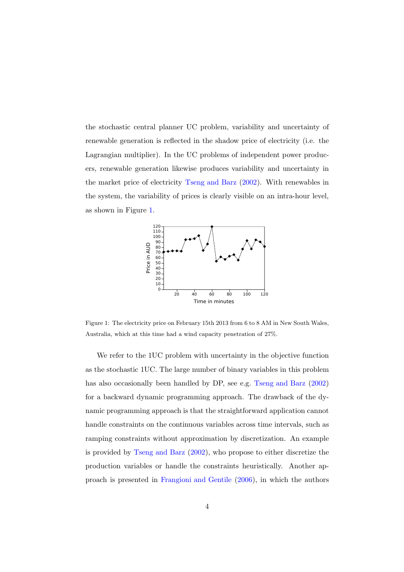the stochastic central planner UC problem, variability and uncertainty of renewable generation is reflected in the shadow price of electricity (i.e. the Lagrangian multiplier). In the UC problems of independent power producers, renewable generation likewise produces variability and uncertainty in the market price of electricity [Tseng and Barz](#page-31-3) [\(2002](#page-31-3)). With renewables in the system, the variability of prices is clearly visible on an intra-hour level, as shown in Figure [1.](#page-3-0)



<span id="page-3-0"></span>Figure 1: The electricity price on February 15th 2013 from 6 to 8 AM in New South Wales, Australia, which at this time had a wind capacity penetration of 27%.

We refer to the 1UC problem with uncertainty in the objective function as the stochastic 1UC. The large number of binary variables in this problem has also occasionally been handled by DP, see e.g. [Tseng and Barz](#page-31-3) [\(2002](#page-31-3)) for a backward dynamic programming approach. The drawback of the dynamic programming approach is that the straightforward application cannot handle constraints on the continuous variables across time intervals, such as ramping constraints without approximation by discretization. An example is provided by [Tseng and Barz](#page-31-3) [\(2002](#page-31-3)), who propose to either discretize the production variables or handle the constraints heuristically. Another approach is presented in [Frangioni and Gentile](#page-30-1) [\(2006](#page-30-1)), in which the authors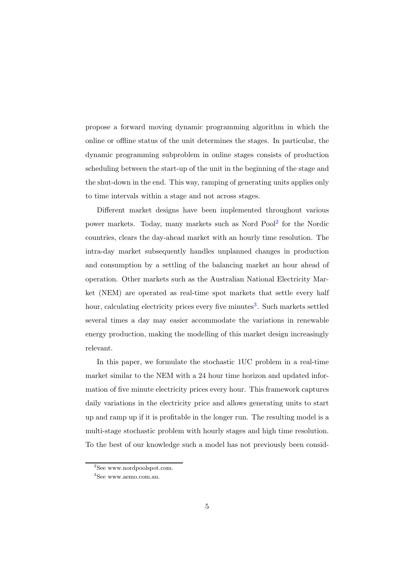propose a forward moving dynamic programming algorithm in which the online or offline status of the unit determines the stages. In particular, the dynamic programming subproblem in online stages consists of production scheduling between the start-up of the unit in the beginning of the stage and the shut-down in the end. This way, ramping of generating units applies only to time intervals within a stage and not across stages.

Different market designs have been implemented throughout various power markets. Today, many markets such as Nord Pool<sup>[2](#page-4-0)</sup> for the Nordic countries, clears the day-ahead market with an hourly time resolution. The intra-day market subsequently handles unplanned changes in production and consumption by a settling of the balancing market an hour ahead of operation. Other markets such as the Australian National Electricity Market (NEM) are operated as real-time spot markets that settle every half hour, calculating electricity prices every five minutes<sup>[3](#page-4-1)</sup>. Such markets settled several times a day may easier accommodate the variations in renewable energy production, making the modelling of this market design increasingly relevant.

In this paper, we formulate the stochastic 1UC problem in a real-time market similar to the NEM with a 24 hour time horizon and updated information of five minute electricity prices every hour. This framework captures daily variations in the electricity price and allows generating units to start up and ramp up if it is profitable in the longer run. The resulting model is a multi-stage stochastic problem with hourly stages and high time resolution. To the best of our knowledge such a model has not previously been consid-

<sup>2</sup> See www.nordpoolspot.com.

<span id="page-4-1"></span><span id="page-4-0"></span><sup>3</sup> See www.aemo.com.au.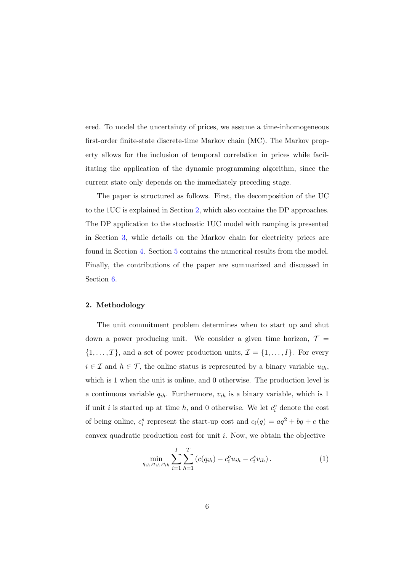ered. To model the uncertainty of prices, we assume a time-inhomogeneous first-order finite-state discrete-time Markov chain (MC). The Markov property allows for the inclusion of temporal correlation in prices while facilitating the application of the dynamic programming algorithm, since the current state only depends on the immediately preceding stage.

The paper is structured as follows. First, the decomposition of the UC to the 1UC is explained in Section [2,](#page-5-0) which also contains the DP approaches. The DP application to the stochastic 1UC model with ramping is presented in Section [3,](#page-8-0) while details on the Markov chain for electricity prices are found in Section [4.](#page-16-0) Section [5](#page-19-0) contains the numerical results from the model. Finally, the contributions of the paper are summarized and discussed in Section [6.](#page-26-0)

#### <span id="page-5-0"></span>2. Methodology

The unit commitment problem determines when to start up and shut down a power producing unit. We consider a given time horizon,  $\mathcal{T} =$  $\{1, \ldots, T\}$ , and a set of power production units,  $\mathcal{I} = \{1, \ldots, I\}$ . For every  $i \in \mathcal{I}$  and  $h \in \mathcal{T}$ , the online status is represented by a binary variable  $u_{ih}$ , which is 1 when the unit is online, and 0 otherwise. The production level is a continuous variable  $q_{ih}$ . Furthermore,  $v_{ih}$  is a binary variable, which is 1 if unit *i* is started up at time *h*, and 0 otherwise. We let  $c_i^o$  denote the cost of being online,  $c_i^s$  represent the start-up cost and  $c_i(q) = aq^2 + bq + c$  the convex quadratic production cost for unit i. Now, we obtain the objective

$$
\min_{q_{ih}, u_{ih}, v_{ih}} \sum_{i=1}^{I} \sum_{h=1}^{T} \left( c(q_{ih}) - c_i^o u_{ih} - c_i^s v_{ih} \right). \tag{1}
$$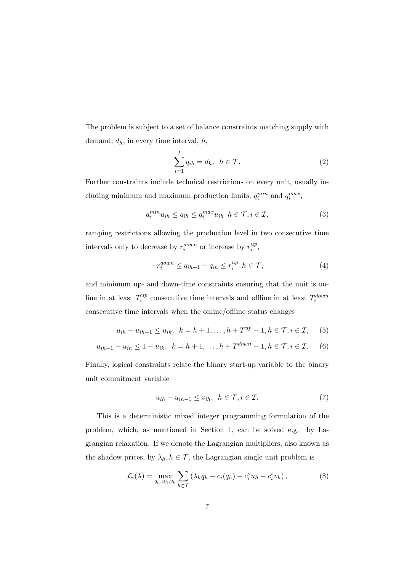The problem is subject to a set of balance constraints matching supply with demand,  $d_h$ , in every time interval,  $h$ ,

<span id="page-6-0"></span>
$$
\sum_{i=1}^{I} q_{ih} = d_h, \ \ h \in \mathcal{T}.
$$

Further constraints include technical restrictions on every unit, usually including minimum and maximum production limits,  $q_i^{min}$  and  $q_i^{max}$ ,

$$
q_i^{min} u_{ih} \le q_{ih} \le q_i^{max} u_{ih} \ \ h \in \mathcal{T}, i \in \mathcal{I}, \tag{3}
$$

ramping restrictions allowing the production level in two consecutive time intervals only to decrease by  $r_i^{down}$  or increase by  $r_i^{up}$  $i^{\mu}$ ,

$$
-r_i^{down} \le q_{ih+1} - q_{ih} \le r_i^{up} \quad h \in \mathcal{T},\tag{4}
$$

and minimum up- and down-time constraints ensuring that the unit is online in at least  $T_i^{up}$  $i^{up}$  consecutive time intervals and offline in at least  $T_i^{down}$ consecutive time intervals when the online/offline status changes

$$
u_{ih} - u_{ih-1} \le u_{ik}, \ \ k = h + 1, \dots, h + T^{up} - 1, h \in \mathcal{T}, i \in \mathcal{I}, \tag{5}
$$

$$
u_{ih-1} - u_{ih} \le 1 - u_{ik}, \ \ k = h + 1, \dots, h + T^{down} - 1, h \in \mathcal{T}, i \in \mathcal{I}. \tag{6}
$$

Finally, logical constraints relate the binary start-up variable to the binary unit commitment variable

<span id="page-6-1"></span>
$$
u_{ih} - u_{ih-1} \le v_{ih}, \ \ h \in \mathcal{T}, i \in \mathcal{I}.\tag{7}
$$

This is a deterministic mixed integer programming formulation of the problem, which, as mentioned in Section [1,](#page-1-0) can be solved e.g. by Lagrangian relaxation. If we denote the Lagrangian multipliers, also known as the shadow prices, by  $\lambda_h, h \in \mathcal{T}$ , the Lagrangian single unit problem is

$$
\mathcal{L}_i(\lambda) = \max_{q_h, u_h, v_h} \sum_{h \in \mathcal{T}} \left( \lambda_h q_h - c_i(q_h) - c_i^o u_h - c_i^s v_h \right),\tag{8}
$$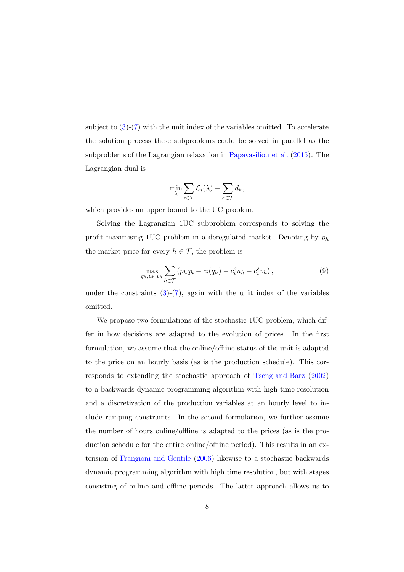subject to  $(3)-(7)$  $(3)-(7)$  with the unit index of the variables omitted. To accelerate the solution process these subproblems could be solved in parallel as the subproblems of the Lagrangian relaxation in [Papavasiliou et al.](#page-31-4) [\(2015](#page-31-4)). The Lagrangian dual is

$$
\min_{\lambda} \sum_{i \in \mathcal{I}} \mathcal{L}_i(\lambda) - \sum_{h \in \mathcal{T}} d_h,
$$

which provides an upper bound to the UC problem.

Solving the Lagrangian 1UC subproblem corresponds to solving the profit maximising 1UC problem in a deregulated market. Denoting by  $p_h$ the market price for every  $h \in \mathcal{T}$ , the problem is

$$
\max_{q_h, u_h, v_h} \sum_{h \in \mathcal{T}} \left( p_h q_h - c_i(q_h) - c_i^o u_h - c_i^s v_h \right),\tag{9}
$$

under the constraints  $(3)-(7)$  $(3)-(7)$ , again with the unit index of the variables omitted.

We propose two formulations of the stochastic 1UC problem, which differ in how decisions are adapted to the evolution of prices. In the first formulation, we assume that the online/offline status of the unit is adapted to the price on an hourly basis (as is the production schedule). This corresponds to extending the stochastic approach of [Tseng and Barz](#page-31-3) [\(2002](#page-31-3)) to a backwards dynamic programming algorithm with high time resolution and a discretization of the production variables at an hourly level to include ramping constraints. In the second formulation, we further assume the number of hours online/offline is adapted to the prices (as is the production schedule for the entire online/offline period). This results in an extension of [Frangioni and Gentile](#page-30-1) [\(2006](#page-30-1)) likewise to a stochastic backwards dynamic programming algorithm with high time resolution, but with stages consisting of online and offline periods. The latter approach allows us to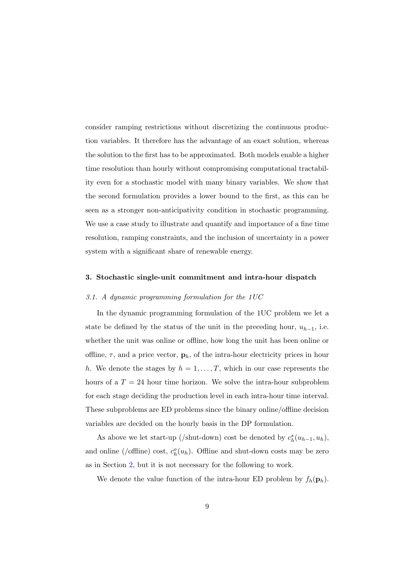consider ramping restrictions without discretizing the continuous production variables. It therefore has the advantage of an exact solution, whereas the solution to the first has to be approximated. Both models enable a higher time resolution than hourly without compromising computational tractability even for a stochastic model with many binary variables. We show that the second formulation provides a lower bound to the first, as this can be seen as a stronger non-anticipativity condition in stochastic programming. We use a case study to illustrate and quantify and importance of a fine time resolution, ramping constraints, and the inclusion of uncertainty in a power system with a significant share of renewable energy.

#### <span id="page-8-0"></span>3. Stochastic single-unit commitment and intra-hour dispatch

#### *3.1. A dynamic programming formulation for the 1UC*

In the dynamic programming formulation of the 1UC problem we let a state be defined by the status of the unit in the preceding hour,  $u_{h-1}$ , i.e. whether the unit was online or offline, how long the unit has been online or offline,  $\tau$ , and a price vector,  $\mathbf{p}_h$ , of the intra-hour electricity prices in hour h. We denote the stages by  $h = 1, \ldots, T$ , which in our case represents the hours of a  $T = 24$  hour time horizon. We solve the intra-hour subproblem for each stage deciding the production level in each intra-hour time interval. These subproblems are ED problems since the binary online/offline decision variables are decided on the hourly basis in the DP formulation.

As above we let start-up (/shut-down) cost be denoted by  $c_h^s(u_{h-1}, u_h)$ , and online (/offline) cost,  $c_h^o(u_h)$ . Offline and shut-down costs may be zero as in Section [2,](#page-5-0) but it is not necessary for the following to work.

We denote the value function of the intra-hour ED problem by  $f_h(\mathbf{p}_h)$ .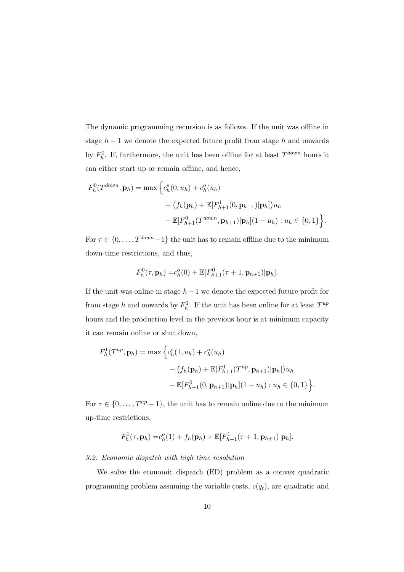The dynamic programming recursion is as follows. If the unit was offline in stage  $h-1$  we denote the expected future profit from stage h and onwards by  $F_h^0$ . If, furthermore, the unit has been offline for at least  $T^{down}$  hours it can either start up or remain offline, and hence,

$$
F_h^0(T^{down}, \mathbf{p}_h) = \max \Big\{ c_h^s(0, u_h) + c_h^o(u_h) + (f_h(\mathbf{p}_h) + \mathbb{E}[F_{h+1}^1(0, \mathbf{p}_{h+1}) | \mathbf{p}_h]) u_h + \mathbb{E}[F_{h+1}^0(T^{down}, \mathbf{p}_{h+1}) | \mathbf{p}_h] (1 - u_h) : u_h \in \{0, 1\} \Big\}.
$$

For  $\tau \in \{0, \ldots, T^{down} - 1\}$  the unit has to remain offline due to the minimum down-time restrictions, and thus,

$$
F_h^0(\tau, \mathbf{p}_h) = c_h^0(0) + \mathbb{E}[F_{h+1}^0(\tau+1, \mathbf{p}_{h+1})|\mathbf{p}_h].
$$

If the unit was online in stage  $h-1$  we denote the expected future profit for from stage h and onwards by  $F_h^1$ . If the unit has been online for at least  $T^{up}$ hours and the production level in the previous hour is at minimum capacity it can remain online or shut down,

$$
F_h^1(T^{up}, \mathbf{p}_h) = \max \left\{ c_h^s(1, u_h) + c_h^o(u_h) + (f_h(\mathbf{p}_h) + \mathbb{E}[F_{h+1}^1(T^{up}, \mathbf{p}_{h+1}) | \mathbf{p}_h])u_h + \mathbb{E}[F_{h+1}^0(0, \mathbf{p}_{h+1}) | \mathbf{p}_h](1 - u_h) : u_h \in \{0, 1\} \right\}.
$$

For  $\tau \in \{0, \ldots, T^{up} - 1\}$ , the unit has to remain online due to the minimum up-time restrictions,

$$
F_h^1(\tau, \mathbf{p}_h) = c_h^o(1) + f_h(\mathbf{p}_h) + \mathbb{E}[F_{h+1}^1(\tau+1, \mathbf{p}_{h+1})|\mathbf{p}_h].
$$

#### *3.2. Economic dispatch with high time resolution*

We solve the economic dispatch (ED) problem as a convex quadratic programming problem assuming the variable costs,  $c(q_t)$ , are quadratic and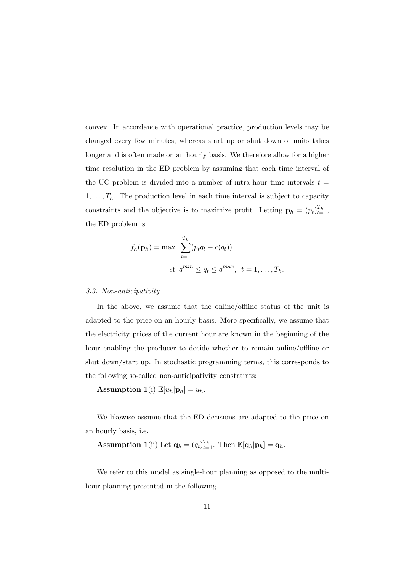convex. In accordance with operational practice, production levels may be changed every few minutes, whereas start up or shut down of units takes longer and is often made on an hourly basis. We therefore allow for a higher time resolution in the ED problem by assuming that each time interval of the UC problem is divided into a number of intra-hour time intervals  $t =$  $1, \ldots, T_h$ . The production level in each time interval is subject to capacity constraints and the objective is to maximize profit. Letting  $\mathbf{p}_h = (p_t)_{t=1}^{T_h}$ , the ED problem is

$$
f_h(\mathbf{p}_h) = \max \sum_{t=1}^{T_h} (p_t q_t - c(q_t))
$$
  
st  $q^{min} \le q_t \le q^{max}, t = 1, ..., T_h.$ 

#### *3.3. Non-anticipativity*

In the above, we assume that the online/offline status of the unit is adapted to the price on an hourly basis. More specifically, we assume that the electricity prices of the current hour are known in the beginning of the hour enabling the producer to decide whether to remain online/offline or shut down/start up. In stochastic programming terms, this corresponds to the following so-called non-anticipativity constraints:

## **Assumption 1**(i)  $\mathbb{E}[u_h|\mathbf{p}_h] = u_h$ .

We likewise assume that the ED decisions are adapted to the price on an hourly basis, i.e.

## **Assumption 1**(ii) Let  $\mathbf{q}_h = (q_t)_{t=1}^{T_h}$ . Then  $\mathbb{E}[\mathbf{q}_h | \mathbf{p}_h] = \mathbf{q}_h$ .

We refer to this model as single-hour planning as opposed to the multihour planning presented in the following.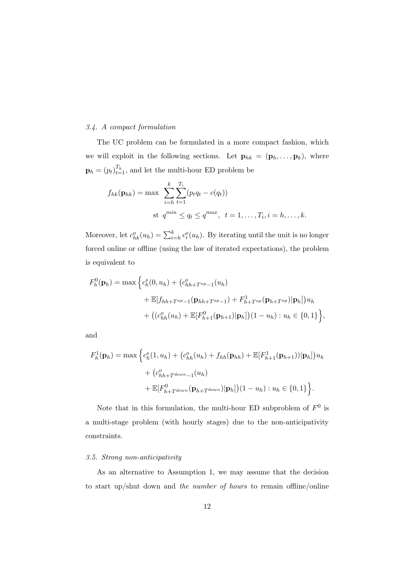## *3.4. A compact formulation*

The UC problem can be formulated in a more compact fashion, which we will exploit in the following sections. Let  $\mathbf{p}_{hk} = (\mathbf{p}_h, \dots, \mathbf{p}_k)$ , where  $\mathbf{p}_h = (p_t)_{t=1}^{T_h}$ , and let the multi-hour ED problem be

$$
f_{hk}(\mathbf{p}_{hk}) = \max \sum_{i=h}^{k} \sum_{t=1}^{T_i} (p_t q_t - c(q_t))
$$
  
st  $q^{min} \le q_t \le q^{max}, t = 1, ..., T_i, i = h, ..., k.$ 

Moreover, let  $c_{hk}^o(u_h) = \sum_{i=h}^k c_i^o(u_h)$ . By iterating until the unit is no longer forced online or offline (using the law of iterated expectations), the problem is equivalent to

$$
F_h^0(\mathbf{p}_h) = \max \Big\{ c_h^s(0, u_h) + (c_{hh+T^{up}-1}^0(u_h) + \mathbb{E}[f_{hh+T^{up}-1}(\mathbf{p}_{hh+T^{up}-1}) + F_{h+T^{up}}^1(\mathbf{p}_{h+T^{up}})|\mathbf{p}_h])u_h + ((c_{hh}^o(u_h) + \mathbb{E}[F_{h+1}^0(\mathbf{p}_{h+1})|\mathbf{p}_h])(1 - u_h) : u_h \in \{0, 1\} \Big\},\,
$$

and

$$
F_h^1(\mathbf{p}_h) = \max \Big\{ c_h^s(1, u_h) + (c_{hh}^o(u_h) + f_{hh}(\mathbf{p}_{hh}) + \mathbb{E}[F_{h+1}^1(\mathbf{p}_{h+1}))|\mathbf{p}_h] \Big\} u_h + (c_{hh+T^{down}-1}^o(u_h) + \mathbb{E}[F_{h+T^{down}}^0(\mathbf{p}_{h+T^{down}})|\mathbf{p}_h]) (1 - u_h) : u_h \in \{0, 1\} \Big\}.
$$

Note that in this formulation, the multi-hour ED subproblem of  $F^0$  is a multi-stage problem (with hourly stages) due to the non-anticipativity constraints.

#### *3.5. Strong non-anticipativity*

As an alternative to Assumption 1, we may assume that the decision to start up/shut down and *the number of hours* to remain offline/online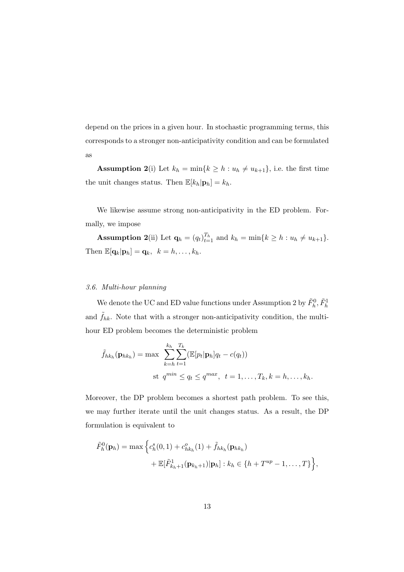depend on the prices in a given hour. In stochastic programming terms, this corresponds to a stronger non-anticipativity condition and can be formulated as

**Assumption 2(i)** Let  $k_h = \min\{k \geq h : u_h \neq u_{k+1}\}$ , i.e. the first time the unit changes status. Then  $\mathbb{E}[k_h|\mathbf{p}_h] = k_h$ .

We likewise assume strong non-anticipativity in the ED problem. Formally, we impose

**Assumption 2**(ii) Let  $\mathbf{q}_h = (q_t)_{t=1}^{T_h}$  and  $k_h = \min\{k \geq h : u_h \neq u_{k+1}\}.$ Then  $\mathbb{E}[\mathbf{q}_k|\mathbf{p}_h] = \mathbf{q}_k, \ \ k = h, \ldots, k_h.$ 

## *3.6. Multi-hour planning*

We denote the UC and ED value functions under Assumption 2 by  $\tilde{F}_h^0, \tilde{F}_h^1$ and  $\tilde{f}_{hk}$ . Note that with a stronger non-anticipativity condition, the multihour ED problem becomes the deterministic problem

$$
\tilde{f}_{hk_h}(\mathbf{p}_{hk_h}) = \max \sum_{k=h}^{k_h} \sum_{t=1}^{T_k} (\mathbb{E}[p_t|\mathbf{p}_h]q_t - c(q_t))
$$
  
st  $q^{min} \le q_t \le q^{max}, t = 1, ..., T_k, k = h, ..., k_h.$ 

Moreover, the DP problem becomes a shortest path problem. To see this, we may further iterate until the unit changes status. As a result, the DP formulation is equivalent to

$$
\tilde{F}_h^0(\mathbf{p}_h) = \max \Big\{ c_h^s(0,1) + c_{hk_h}^o(1) + \tilde{f}_{hk_h}(\mathbf{p}_{hk_h}) + \mathbb{E}[\tilde{F}_{k_h+1}^1(\mathbf{p}_{k_h+1})|\mathbf{p}_h] : k_h \in \{h + T^{up} - 1, \dots, T\} \Big\},
$$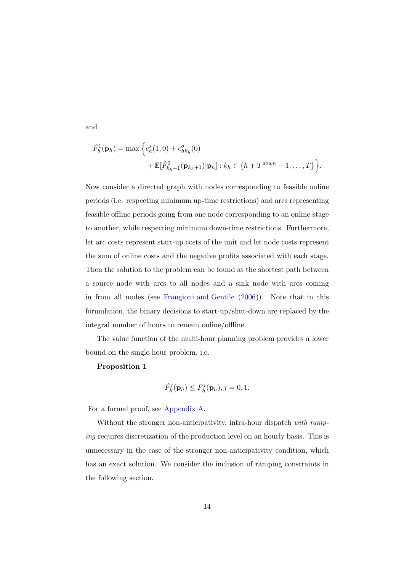and

$$
\tilde{F}_h^1(\mathbf{p}_h) = \max \Big\{ c_h^s(1,0) + c_{hk_h}^o(0) + \mathbb{E}[\tilde{F}_{k_h+1}^0(\mathbf{p}_{k_h+1}) | \mathbf{p}_h] : k_h \in \{ h + T^{down} - 1, ..., T \} \Big\}.
$$

Now consider a directed graph with nodes corresponding to feasible online periods (i.e. respecting minimum up-time restrictions) and arcs representing feasible offline periods going from one node corresponding to an online stage to another, while respecting minimum down-time restrictions. Furthermore, let arc costs represent start-up costs of the unit and let node costs represent the sum of online costs and the negative profits associated with each stage. Then the solution to the problem can be found as the shortest path between a source node with arcs to all nodes and a sink node with arcs coming in from all nodes (see [Frangioni and Gentile](#page-30-1) [\(2006\)](#page-30-1)). Note that in this formulation, the binary decisions to start-up/shut-down are replaced by the integral number of hours to remain online/offline.

The value function of the multi-hour planning problem provides a lower bound on the single-hour problem, i.e.

### Proposition 1

$$
\tilde{F}_h^j(\mathbf{p}_h) \leq F_h^j(\mathbf{p}_h), j = 0, 1.
$$

For a formal proof, see [Appendix A.](#page-27-0)

Without the stronger non-anticipativity, intra-hour dispatch *with ramping* requires discretization of the production level on an hourly basis. This is unnecessary in the case of the stronger non-anticipativity condition, which has an exact solution. We consider the inclusion of ramping constraints in the following section.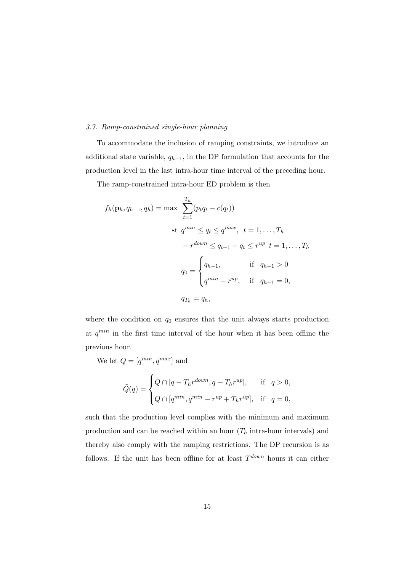## *3.7. Ramp-constrained single-hour planning*

To accommodate the inclusion of ramping constraints, we introduce an additional state variable,  $q_{h-1}$ , in the DP formulation that accounts for the production level in the last intra-hour time interval of the preceding hour.

The ramp-constrained intra-hour ED problem is then

$$
f_h(\mathbf{p}_h, q_{h-1}, q_h) = \max \sum_{t=1}^{T_h} (p_t q_t - c(q_t))
$$
  
st  $q^{min} \le q_t \le q^{max}, t = 1, ..., T_h$   

$$
-r^{down} \le q_{t+1} - q_t \le r^{up} t = 1, ..., T_h
$$
  

$$
q_0 = \begin{cases} q_{h-1}, & \text{if } q_{h-1} > 0 \\ q^{min} - r^{up}, & \text{if } q_{h-1} = 0, \end{cases}
$$
  

$$
q_{T_h} = q_h,
$$

where the condition on  $q_0$  ensures that the unit always starts production at  $q^{min}$  in the first time interval of the hour when it has been offline the previous hour.

We let  $Q = [q^{min}, q^{max}]$  and

$$
\tilde{Q}(q) = \begin{cases} Q \cap [q - T_h r^{down}, q + T_h r^{up}], & \text{if } q > 0, \\ Q \cap [q^{min}, q^{min} - r^{up} + T_h r^{up}], & \text{if } q = 0, \end{cases}
$$

such that the production level complies with the minimum and maximum production and can be reached within an hour  $(T_h$  intra-hour intervals) and thereby also comply with the ramping restrictions. The DP recursion is as follows. If the unit has been offline for at least  $T^{down}$  hours it can either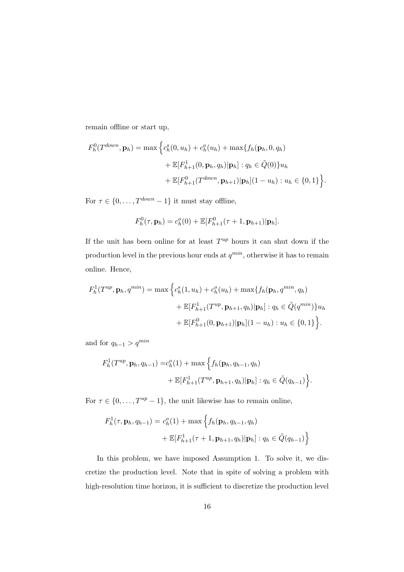remain offline or start up,

$$
F_h^0(T^{down}, \mathbf{p}_h) = \max \Big\{ c_h^s(0, u_h) + c_h^o(u_h) + \max \{ f_h(\mathbf{p}_h, 0, q_h) + \mathbb{E}[F_{h+1}^1(0, \mathbf{p}_h, q_h) | \mathbf{p}_h] : q_h \in \tilde{Q}(0) \} u_h + \mathbb{E}[F_{h+1}^0(T^{down}, \mathbf{p}_{h+1}) | \mathbf{p}_h] (1 - u_h) : u_h \in \{0, 1\} \Big\}.
$$

For  $\tau \in \{0, \ldots, T^{down} - 1\}$  it must stay offline,

$$
F_h^0(\tau, \mathbf{p}_h) = c_h^0(0) + \mathbb{E}[F_{h+1}^0(\tau+1, \mathbf{p}_{h+1})|\mathbf{p}_h].
$$

If the unit has been online for at least  $T^{up}$  hours it can shut down if the production level in the previous hour ends at  $q^{min}$ , otherwise it has to remain online. Hence,

$$
F_h^1(T^{up}, \mathbf{p}_h, q^{min}) = \max \left\{ c_h^s(1, u_h) + c_h^o(u_h) + \max \{ f_h(\mathbf{p}_h, q^{min}, q_h) \right.+ \mathbb{E}[F_{h+1}^1(T^{up}, \mathbf{p}_{h+1}, q_h) | \mathbf{p}_h] : q_h \in \tilde{Q}(q^{min}) \} u_h + \mathbb{E}[F_{h+1}^0(0, \mathbf{p}_{h+1}) | \mathbf{p}_h] (1 - u_h) : u_h \in \{0, 1\} \right\}.
$$

and for  $q_{h-1} > q^{min}$ 

$$
F_h^1(T^{up}, \mathbf{p}_h, q_{h-1}) = c_h^o(1) + \max \left\{ f_h(\mathbf{p}_h, q_{h-1}, q_h) + \mathbb{E}[F_{h+1}^1(T^{up}, \mathbf{p}_{h+1}, q_h)|\mathbf{p}_h] : q_h \in \tilde{Q}(q_{h-1}) \right\}.
$$

For  $\tau \in \{0, \ldots, T^{up} - 1\}$ , the unit likewise has to remain online,

$$
F_h^1(\tau, \mathbf{p}_h, q_{h-1}) = c_h^o(1) + \max \left\{ f_h(\mathbf{p}_h, q_{h-1}, q_h) + \mathbb{E}[F_{h+1}^1(\tau+1, \mathbf{p}_{h+1}, q_h)|\mathbf{p}_h] : q_h \in \tilde{Q}(q_{h-1}) \right\}
$$

In this problem, we have imposed Assumption 1. To solve it, we discretize the production level. Note that in spite of solving a problem with high-resolution time horizon, it is sufficient to discretize the production level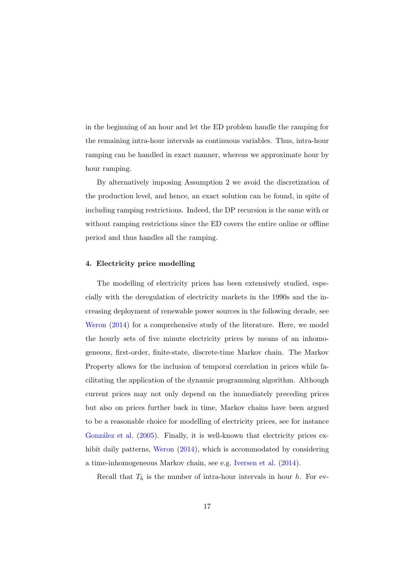in the beginning of an hour and let the ED problem handle the ramping for the remaining intra-hour intervals as continuous variables. Thus, intra-hour ramping can be handled in exact manner, whereas we approximate hour by hour ramping.

By alternatively imposing Assumption 2 we avoid the discretization of the production level, and hence, an exact solution can be found, in spite of including ramping restrictions. Indeed, the DP recursion is the same with or without ramping restrictions since the ED covers the entire online or offline period and thus handles all the ramping.

## <span id="page-16-0"></span>4. Electricity price modelling

The modelling of electricity prices has been extensively studied, especially with the deregulation of electricity markets in the 1990s and the increasing deployment of renewable power sources in the following decade, see [Weron](#page-31-5) [\(2014](#page-31-5)) for a comprehensive study of the literature. Here, we model the hourly sets of five minute electricity prices by means of an inhomogeneous, first-order, finite-state, discrete-time Markov chain. The Markov Property allows for the inclusion of temporal correlation in prices while facilitating the application of the dynamic programming algorithm. Although current prices may not only depend on the immediately preceding prices but also on prices further back in time, Markov chains have been argued to be a reasonable choice for modelling of electricity prices, see for instance González et al. [\(2005](#page-31-6)). Finally, it is well-known that electricity prices exhibit daily patterns, [Weron](#page-31-5) [\(2014](#page-31-5)), which is accommodated by considering a time-inhomogeneous Markov chain, see e.g. [Iversen et al.](#page-32-0) [\(2014](#page-32-0)).

Recall that  $T_h$  is the number of intra-hour intervals in hour h. For ev-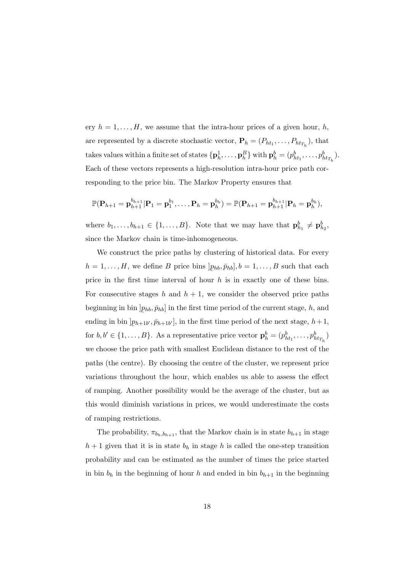ery  $h = 1, \ldots, H$ , we assume that the intra-hour prices of a given hour, h, are represented by a discrete stochastic vector,  $\mathbf{P}_h = (P_{ht_1}, \ldots, P_{ht_{T_h}})$ , that takes values within a finite set of states  $\{p_h^1, \ldots, p_h^B\}$  with  $p_h^b = (p_{ht_1}^b, \ldots, p_{ht_{T_h}}^b)$ . Each of these vectors represents a high-resolution intra-hour price path corresponding to the price bin. The Markov Property ensures that

$$
\mathbb{P}(\mathbf{P}_{h+1}=\mathbf{p}_{h+1}^{b_{h+1}}|\mathbf{P}_1=\mathbf{p}_1^{b_1},\ldots,\mathbf{P}_h=\mathbf{p}_h^{b_h})=\mathbb{P}(\mathbf{P}_{h+1}=\mathbf{p}_{h+1}^{b_{h+1}}|\mathbf{P}_h=\mathbf{p}_h^{b_h}),
$$

where  $b_1, \ldots, b_{h+1} \in \{1, \ldots, B\}$ . Note that we may have that  $\mathbf{p}_{h_1}^b \neq \mathbf{p}_{h_2}^b$ , since the Markov chain is time-inhomogeneous.

We construct the price paths by clustering of historical data. For every  $h = 1, \ldots, H$ , we define B price bins | ¯  $(p_{hb}, \bar{p}_{hb}], b = 1, \ldots, B$  such that each price in the first time interval of hour  $h$  is in exactly one of these bins. For consecutive stages h and  $h + 1$ , we consider the observed price paths beginning in bin  $]_l$ ¯  $(p_{hb}, \bar{p}_{hb})$  in the first time period of the current stage, h, and ending in bin  $]_l$ ¯  $(p_{h+1b'}, \bar{p}_{h+1b'}],$  in the first time period of the next stage,  $h+1$ , for  $b, b' \in \{1, ..., B\}$ . As a representative price vector  $\mathbf{p}_h^b = (p_{ht_1}^b, ..., p_{ht_{T_h}}^b)$ we choose the price path with smallest Euclidean distance to the rest of the paths (the centre). By choosing the centre of the cluster, we represent price variations throughout the hour, which enables us able to assess the effect of ramping. Another possibility would be the average of the cluster, but as this would diminish variations in prices, we would underestimate the costs of ramping restrictions.

The probability,  $\pi_{b_h,b_{h+1}}$ , that the Markov chain is in state  $b_{h+1}$  in stage  $h + 1$  given that it is in state  $b_h$  in stage h is called the one-step transition probability and can be estimated as the number of times the price started in bin  $b_h$  in the beginning of hour h and ended in bin  $b_{h+1}$  in the beginning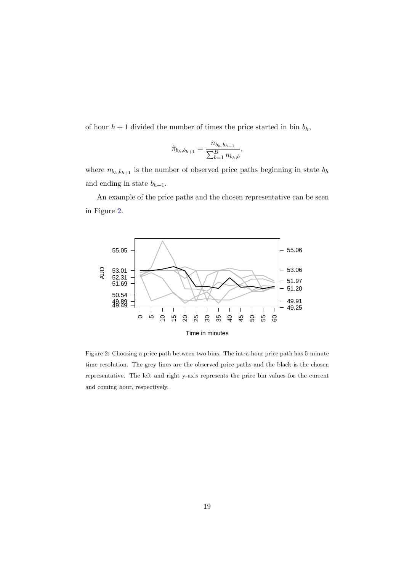of hour  $h + 1$  divided the number of times the price started in bin  $b_h$ ,

$$
\hat{\pi}_{b_h, b_{h+1}} = \frac{n_{b_h, b_{h+1}}}{\sum_{b=1}^B n_{b_h, b}},
$$

where  $n_{b_h,b_{h+1}}$  is the number of observed price paths beginning in state  $b_h$ and ending in state  $b_{h+1}$ .

An example of the price paths and the chosen representative can be seen in Figure [2.](#page-18-0)



<span id="page-18-0"></span>Figure 2: Choosing a price path between two bins. The intra-hour price path has 5-minute time resolution. The grey lines are the observed price paths and the black is the chosen representative. The left and right y-axis represents the price bin values for the current and coming hour, respectively.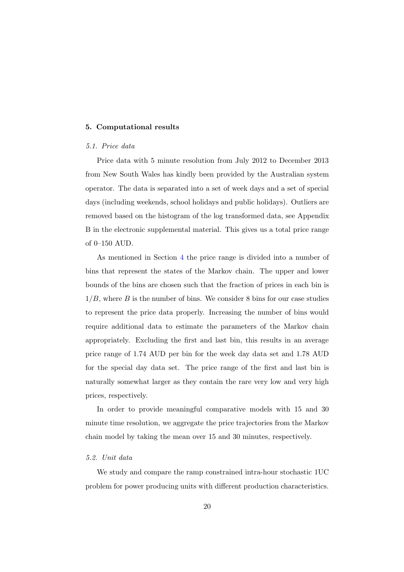#### <span id="page-19-0"></span>5. Computational results

## *5.1. Price data*

Price data with 5 minute resolution from July 2012 to December 2013 from New South Wales has kindly been provided by the Australian system operator. The data is separated into a set of week days and a set of special days (including weekends, school holidays and public holidays). Outliers are removed based on the histogram of the log transformed data, see Appendix B in the electronic supplemental material. This gives us a total price range of 0–150 AUD.

As mentioned in Section [4](#page-16-0) the price range is divided into a number of bins that represent the states of the Markov chain. The upper and lower bounds of the bins are chosen such that the fraction of prices in each bin is  $1/B$ , where B is the number of bins. We consider 8 bins for our case studies to represent the price data properly. Increasing the number of bins would require additional data to estimate the parameters of the Markov chain appropriately. Excluding the first and last bin, this results in an average price range of 1.74 AUD per bin for the week day data set and 1.78 AUD for the special day data set. The price range of the first and last bin is naturally somewhat larger as they contain the rare very low and very high prices, respectively.

In order to provide meaningful comparative models with 15 and 30 minute time resolution, we aggregate the price trajectories from the Markov chain model by taking the mean over 15 and 30 minutes, respectively.

#### *5.2. Unit data*

We study and compare the ramp constrained intra-hour stochastic 1UC problem for power producing units with different production characteristics.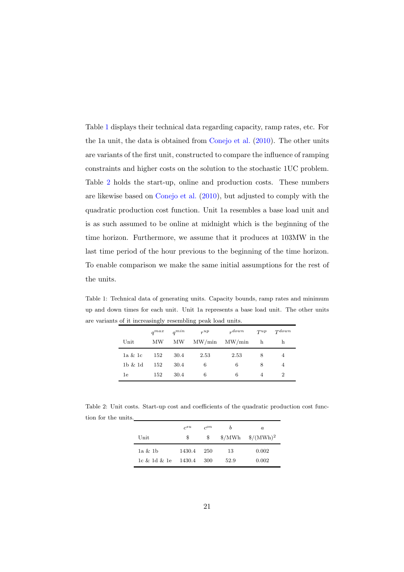Table [1](#page-20-0) displays their technical data regarding capacity, ramp rates, etc. For the 1a unit, the data is obtained from [Conejo et al.](#page-32-1) [\(2010](#page-32-1)). The other units are variants of the first unit, constructed to compare the influence of ramping constraints and higher costs on the solution to the stochastic 1UC problem. Table [2](#page-20-1) holds the start-up, online and production costs. These numbers are likewise based on [Conejo et al.](#page-32-1) [\(2010](#page-32-1)), but adjusted to comply with the quadratic production cost function. Unit 1a resembles a base load unit and is as such assumed to be online at midnight which is the beginning of the time horizon. Furthermore, we assume that it produces at 103MW in the last time period of the hour previous to the beginning of the time horizon. To enable comparison we make the same initial assumptions for the rest of the units.

Table 1: Technical data of generating units. Capacity bounds, ramp rates and minimum up and down times for each unit. Unit 1a represents a base load unit. The other units are variants of it increasingly resembling peak load units.

<span id="page-20-0"></span>

|                | $a^{max}$ | $a^{min}$ | $r^{up}$        | $_{r}down$      | $T^{up}$ | $T^{down}$     |
|----------------|-----------|-----------|-----------------|-----------------|----------|----------------|
| Unit           | MW        | MW        | $\text{MW/min}$ | $\text{MW/min}$ | h        | h              |
| 1a & 1c        | 152       | 30.4      | 2.53            | 2.53            | 8        | 4              |
| $1b$ $\&$ $1d$ | 152       | 30.4      | 6               | 6               | 8        | 4              |
| 1e             | 152       | 30.4      | 6               | 6               | 4        | $\overline{2}$ |

Table 2: Unit costs. Start-up cost and coefficients of the quadratic production cost function for the units.

<span id="page-20-1"></span>

| $\operatorname{Unit}$ | $c^{su}$<br>\$ | $c^{on}$<br>S | b    | $\alpha$<br>$\gamma/MWh$ $\frac{\gamma}{MNh}$ |
|-----------------------|----------------|---------------|------|-----------------------------------------------|
| 1a & 1b               | 1430.4         | 250           | 13   | 0.002                                         |
| 1c & 1d & 1e          | 1430.4         | 300           | 52.9 | 0.002                                         |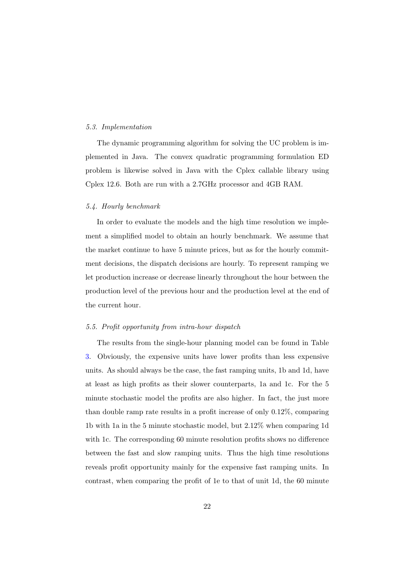#### *5.3. Implementation*

The dynamic programming algorithm for solving the UC problem is implemented in Java. The convex quadratic programming formulation ED problem is likewise solved in Java with the Cplex callable library using Cplex 12.6. Both are run with a 2.7GHz processor and 4GB RAM.

## *5.4. Hourly benchmark*

In order to evaluate the models and the high time resolution we implement a simplified model to obtain an hourly benchmark. We assume that the market continue to have 5 minute prices, but as for the hourly commitment decisions, the dispatch decisions are hourly. To represent ramping we let production increase or decrease linearly throughout the hour between the production level of the previous hour and the production level at the end of the current hour.

#### *5.5. Profit opportunity from intra-hour dispatch*

The results from the single-hour planning model can be found in Table [3.](#page-22-0) Obviously, the expensive units have lower profits than less expensive units. As should always be the case, the fast ramping units, 1b and 1d, have at least as high profits as their slower counterparts, 1a and 1c. For the 5 minute stochastic model the profits are also higher. In fact, the just more than double ramp rate results in a profit increase of only 0.12%, comparing 1b with 1a in the 5 minute stochastic model, but 2.12% when comparing 1d with 1c. The corresponding 60 minute resolution profits shows no difference between the fast and slow ramping units. Thus the high time resolutions reveals profit opportunity mainly for the expensive fast ramping units. In contrast, when comparing the profit of 1e to that of unit 1d, the 60 minute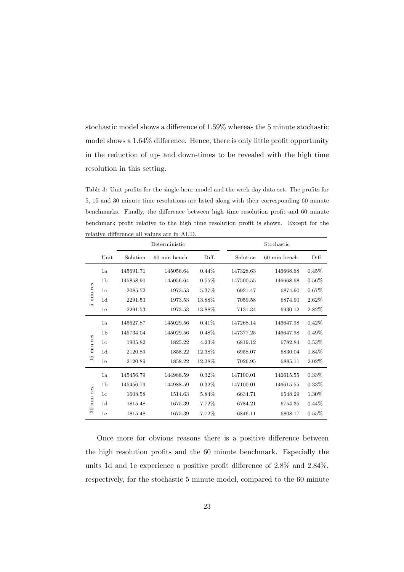stochastic model shows a difference of 1.59% whereas the 5 minute stochastic model shows a 1.64% difference. Hence, there is only little profit opportunity in the reduction of up- and down-times to be revealed with the high time resolution in this setting.

<span id="page-22-0"></span>Table 3: Unit profits for the single-hour model and the week day data set. The profits for 5, 15 and 30 minute time resolutions are listed along with their corresponding 60 minute benchmarks. Finally, the difference between high time resolution profit and 60 minute benchmark profit relative to the high time resolution profit is shown. Except for the relative difference all values are in AUD.

|                 |                | Deterministic |               |          |           | Stochastic    |          |  |  |
|-----------------|----------------|---------------|---------------|----------|-----------|---------------|----------|--|--|
|                 | Unit           | Solution      | 60 min bench. | Diff.    | Solution  | 60 min bench. | Diff.    |  |  |
|                 | 1a             | 145691.71     | 145056.64     | $0.44\%$ | 147328.63 | 146668.68     | 0.45%    |  |  |
|                 | 1 <sub>b</sub> | 145858.90     | 145056.64     | 0.55%    | 147500.55 | 146668.68     | $0.56\%$ |  |  |
| min res.        | 1 <sub>c</sub> | 2085.52       | 1973.53       | 5.37%    | 6921.47   | 6874.90       | $0.67\%$ |  |  |
|                 | 1d             | 2291.53       | 1973.53       | 13.88%   | 7059.58   | 6874.90       | $2.62\%$ |  |  |
| īΟ.             | 1e             | 2291.53       | 1973.53       | 13.88%   | 7131.34   | 6930.12       | 2.82\%   |  |  |
| min res.        | 1a             | 145627.87     | 145029.56     | 0.41%    | 147268.14 | 146647.98     | 0.42%    |  |  |
|                 | 1 <sub>b</sub> | 145734.04     | 145029.56     | $0.48\%$ | 147377.25 | 146647.98     | 0.49%    |  |  |
|                 | 1 <sub>c</sub> | 1905.82       | 1825.22       | 4.23%    | 6819.12   | 6782.84       | 0.53%    |  |  |
|                 | 1 <sub>d</sub> | 2120.89       | 1858.22       | 12.38%   | 6958.07   | 6830.04       | 1.84%    |  |  |
| $\frac{15}{10}$ | 1e             | 2120.89       | 1858.22       | 12.38%   | 7026.95   | 6885.11       | 2.02%    |  |  |
| min res.        | 1a             | 145456.79     | 144988.59     | $0.32\%$ | 147100.01 | 146615.55     | 0.33%    |  |  |
|                 | 1 <sub>b</sub> | 145456.79     | 144988.59     | $0.32\%$ | 147100.01 | 146615.55     | $0.33\%$ |  |  |
|                 | 1 <sub>c</sub> | 1608.58       | 1514.63       | 5.84\%   | 6634.71   | 6548.29       | 1.30%    |  |  |
|                 | 1d             | 1815.48       | 1675.39       | 7.72%    | 6784.21   | 6754.35       | $0.44\%$ |  |  |
| $\overline{30}$ | 1e             | 1815.48       | 1675.39       | 7.72%    | 6846.11   | 6808.17       | $0.55\%$ |  |  |

Once more for obvious reasons there is a positive difference between the high resolution profits and the 60 minute benchmark. Especially the units 1d and 1e experience a positive profit difference of 2.8% and 2.84%, respectively, for the stochastic 5 minute model, compared to the 60 minute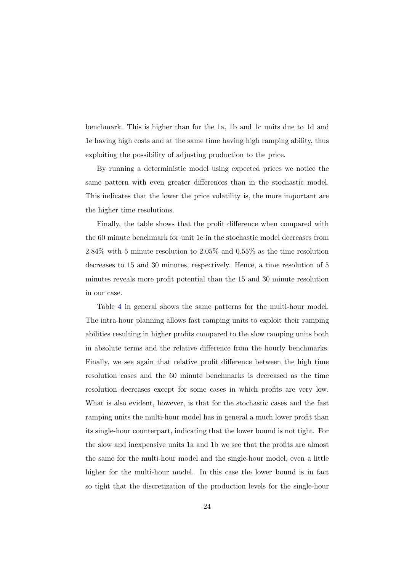benchmark. This is higher than for the 1a, 1b and 1c units due to 1d and 1e having high costs and at the same time having high ramping ability, thus exploiting the possibility of adjusting production to the price.

By running a deterministic model using expected prices we notice the same pattern with even greater differences than in the stochastic model. This indicates that the lower the price volatility is, the more important are the higher time resolutions.

Finally, the table shows that the profit difference when compared with the 60 minute benchmark for unit 1e in the stochastic model decreases from 2.84% with 5 minute resolution to 2.05% and 0.55% as the time resolution decreases to 15 and 30 minutes, respectively. Hence, a time resolution of 5 minutes reveals more profit potential than the 15 and 30 minute resolution in our case.

Table [4](#page-24-0) in general shows the same patterns for the multi-hour model. The intra-hour planning allows fast ramping units to exploit their ramping abilities resulting in higher profits compared to the slow ramping units both in absolute terms and the relative difference from the hourly benchmarks. Finally, we see again that relative profit difference between the high time resolution cases and the 60 minute benchmarks is decreased as the time resolution decreases except for some cases in which profits are very low. What is also evident, however, is that for the stochastic cases and the fast ramping units the multi-hour model has in general a much lower profit than its single-hour counterpart, indicating that the lower bound is not tight. For the slow and inexpensive units 1a and 1b we see that the profits are almost the same for the multi-hour model and the single-hour model, even a little higher for the multi-hour model. In this case the lower bound is in fact so tight that the discretization of the production levels for the single-hour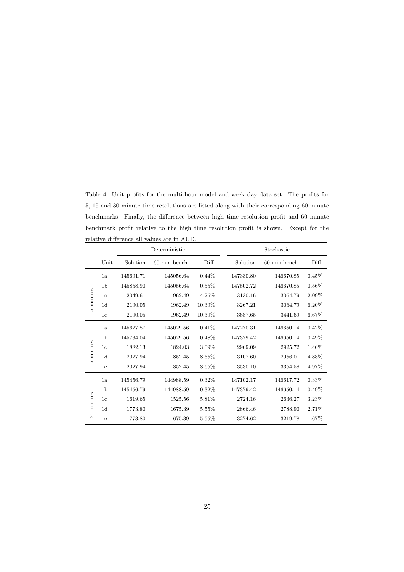<span id="page-24-0"></span>Table 4: Unit profits for the multi-hour model and week day data set. The profits for 5, 15 and 30 minute time resolutions are listed along with their corresponding 60 minute benchmarks. Finally, the difference between high time resolution profit and 60 minute benchmark profit relative to the high time resolution profit is shown. Except for the relative difference all values are in AUD.

|                |                | Deterministic |               |          |           | Stochastic    |          |  |
|----------------|----------------|---------------|---------------|----------|-----------|---------------|----------|--|
|                | Unit           | Solution      | 60 min bench. | Diff.    | Solution  | 60 min bench. | Diff.    |  |
|                | 1a             | 145691.71     | 145056.64     | $0.44\%$ | 147330.80 | 146670.85     | 0.45%    |  |
|                | 1 <sub>b</sub> | 145858.90     | 145056.64     | 0.55%    | 147502.72 | 146670.85     | 0.56%    |  |
| min res.       | 1 <sub>c</sub> | 2049.61       | 1962.49       | 4.25%    | 3130.16   | 3064.79       | 2.09%    |  |
|                | 1d             | 2190.05       | 1962.49       | 10.39%   | 3267.21   | 3064.79       | $6.20\%$ |  |
| LΩ.            | 1e             | 2190.05       | 1962.49       | 10.39%   | 3687.65   | 3441.69       | $6.67\%$ |  |
| min res.       | 1a             | 145627.87     | 145029.56     | 0.41%    | 147270.31 | 146650.14     | 0.42%    |  |
|                | 1 <sub>b</sub> | 145734.04     | 145029.56     | $0.48\%$ | 147379.42 | 146650.14     | 0.49%    |  |
|                | 1 <sub>c</sub> | 1882.13       | 1824.03       | 3.09%    | 2969.09   | 2925.72       | 1.46%    |  |
|                | 1d             | 2027.94       | 1852.45       | 8.65%    | 3107.60   | 2956.01       | 4.88%    |  |
| $\frac{10}{2}$ | 1e             | 2027.94       | 1852.45       | $8.65\%$ | 3530.10   | 3354.58       | 4.97%    |  |
| min res.       | 1a             | 145456.79     | 144988.59     | $0.32\%$ | 147102.17 | 146617.72     | 0.33%    |  |
|                | 1 <sub>b</sub> | 145456.79     | 144988.59     | 0.32%    | 147379.42 | 146650.14     | 0.49%    |  |
|                | 1 <sub>c</sub> | 1619.65       | 1525.56       | 5.81%    | 2724.16   | 2636.27       | 3.23%    |  |
|                | 1 <sub>d</sub> | 1773.80       | 1675.39       | 5.55%    | 2866.46   | 2788.90       | 2.71%    |  |
| $\mathcal{S}$  | 1e             | 1773.80       | 1675.39       | 5.55%    | 3274.62   | 3219.78       | $1.67\%$ |  |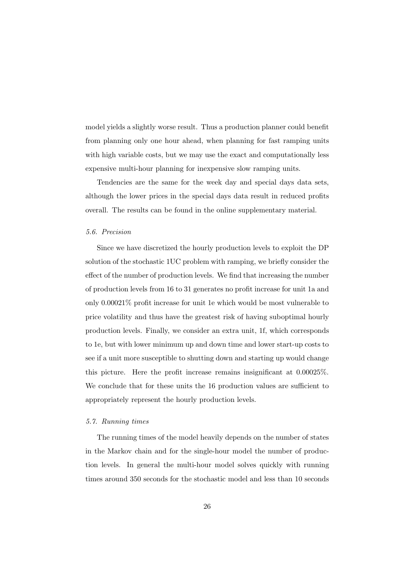model yields a slightly worse result. Thus a production planner could benefit from planning only one hour ahead, when planning for fast ramping units with high variable costs, but we may use the exact and computationally less expensive multi-hour planning for inexpensive slow ramping units.

Tendencies are the same for the week day and special days data sets, although the lower prices in the special days data result in reduced profits overall. The results can be found in the online supplementary material.

#### *5.6. Precision*

Since we have discretized the hourly production levels to exploit the DP solution of the stochastic 1UC problem with ramping, we briefly consider the effect of the number of production levels. We find that increasing the number of production levels from 16 to 31 generates no profit increase for unit 1a and only 0.00021% profit increase for unit 1e which would be most vulnerable to price volatility and thus have the greatest risk of having suboptimal hourly production levels. Finally, we consider an extra unit, 1f, which corresponds to 1e, but with lower minimum up and down time and lower start-up costs to see if a unit more susceptible to shutting down and starting up would change this picture. Here the profit increase remains insignificant at 0.00025%. We conclude that for these units the 16 production values are sufficient to appropriately represent the hourly production levels.

## *5.7. Running times*

The running times of the model heavily depends on the number of states in the Markov chain and for the single-hour model the number of production levels. In general the multi-hour model solves quickly with running times around 350 seconds for the stochastic model and less than 10 seconds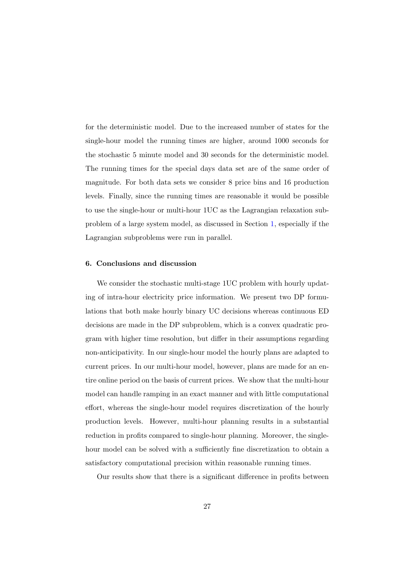for the deterministic model. Due to the increased number of states for the single-hour model the running times are higher, around 1000 seconds for the stochastic 5 minute model and 30 seconds for the deterministic model. The running times for the special days data set are of the same order of magnitude. For both data sets we consider 8 price bins and 16 production levels. Finally, since the running times are reasonable it would be possible to use the single-hour or multi-hour 1UC as the Lagrangian relaxation subproblem of a large system model, as discussed in Section [1,](#page-1-0) especially if the Lagrangian subproblems were run in parallel.

### <span id="page-26-0"></span>6. Conclusions and discussion

We consider the stochastic multi-stage 1UC problem with hourly updating of intra-hour electricity price information. We present two DP formulations that both make hourly binary UC decisions whereas continuous ED decisions are made in the DP subproblem, which is a convex quadratic program with higher time resolution, but differ in their assumptions regarding non-anticipativity. In our single-hour model the hourly plans are adapted to current prices. In our multi-hour model, however, plans are made for an entire online period on the basis of current prices. We show that the multi-hour model can handle ramping in an exact manner and with little computational effort, whereas the single-hour model requires discretization of the hourly production levels. However, multi-hour planning results in a substantial reduction in profits compared to single-hour planning. Moreover, the singlehour model can be solved with a sufficiently fine discretization to obtain a satisfactory computational precision within reasonable running times.

Our results show that there is a significant difference in profits between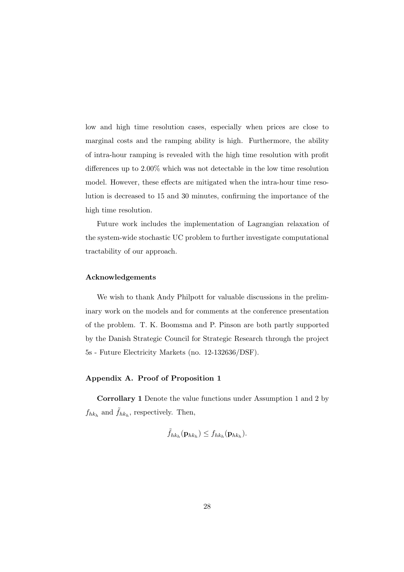low and high time resolution cases, especially when prices are close to marginal costs and the ramping ability is high. Furthermore, the ability of intra-hour ramping is revealed with the high time resolution with profit differences up to 2.00% which was not detectable in the low time resolution model. However, these effects are mitigated when the intra-hour time resolution is decreased to 15 and 30 minutes, confirming the importance of the high time resolution.

Future work includes the implementation of Lagrangian relaxation of the system-wide stochastic UC problem to further investigate computational tractability of our approach.

#### Acknowledgements

We wish to thank Andy Philpott for valuable discussions in the preliminary work on the models and for comments at the conference presentation of the problem. T. K. Boomsma and P. Pinson are both partly supported by the Danish Strategic Council for Strategic Research through the project 5s - Future Electricity Markets (no. 12-132636/DSF).

## <span id="page-27-0"></span>Appendix A. Proof of Proposition 1

Corrollary 1 Denote the value functions under Assumption 1 and 2 by  $f_{hk_h}$  and  $\tilde{f}_{hk_h}$ , respectively. Then,

$$
\tilde{f}_{hk_h}(\mathbf{p}_{hk_h}) \leq f_{hk_h}(\mathbf{p}_{hk_h}).
$$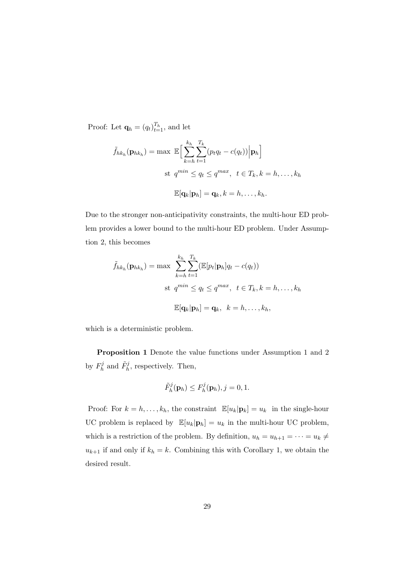Proof: Let  $\mathbf{q}_h = (q_t)_{t=1}^{T_h}$ , and let

$$
\tilde{f}_{hk_h}(\mathbf{p}_{hk_h}) = \max \mathbb{E} \Big[ \sum_{k=h}^{k_h} \sum_{t=1}^{T_k} (p_t q_t - c(q_t)) \Big| \mathbf{p}_h \Big]
$$
  
st  $q^{min} \le q_t \le q^{max}, t \in T_k, k = h, ..., k_h$   

$$
\mathbb{E}[\mathbf{q}_k | \mathbf{p}_h] = \mathbf{q}_k, k = h, ..., k_h.
$$

Due to the stronger non-anticipativity constraints, the multi-hour ED problem provides a lower bound to the multi-hour ED problem. Under Assumption 2, this becomes

$$
\tilde{f}_{hk_h}(\mathbf{p}_{hk_h}) = \max \sum_{k=h}^{k_h} \sum_{t=1}^{T_k} (\mathbb{E}[p_t | \mathbf{p}_h] q_t - c(q_t))
$$
  
st  $q^{min} \le q_t \le q^{max}, t \in T_k, k = h, ..., k_h$   

$$
\mathbb{E}[\mathbf{q}_k | \mathbf{p}_h] = \mathbf{q}_k, k = h, ..., k_h,
$$

which is a deterministic problem.

Proposition 1 Denote the value functions under Assumption 1 and 2 by  $F_h^j$  $\tilde{F}_h^j$ , and  $\tilde{F}_h^j$ , respectively. Then,

$$
\tilde{F}_h^j(\mathbf{p}_h) \leq F_h^j(\mathbf{p}_h), j = 0, 1.
$$

Proof: For  $k = h, \ldots, k_h$ , the constraint  $\mathbb{E}[u_k|\mathbf{p}_k] = u_k$  in the single-hour UC problem is replaced by  $\mathbb{E}[u_k|\mathbf{p}_h] = u_k$  in the multi-hour UC problem, which is a restriction of the problem. By definition,  $u_h = u_{h+1} = \cdots = u_k \neq$  $u_{k+1}$  if and only if  $k_h = k$ . Combining this with Corollary 1, we obtain the desired result.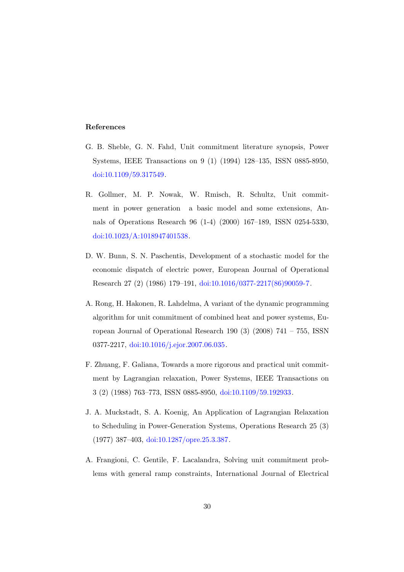## References

- <span id="page-29-0"></span>G. B. Sheble, G. N. Fahd, Unit commitment literature synopsis, Power Systems, IEEE Transactions on 9 (1) (1994) 128–135, ISSN 0885-8950, [doi:10.1109/59.317549.](http://dx.doi.org/10.1109/59.317549)
- <span id="page-29-1"></span>R. Gollmer, M. P. Nowak, W. Rmisch, R. Schultz, Unit commitment in power generation a basic model and some extensions, Annals of Operations Research 96 (1-4) (2000) 167–189, ISSN 0254-5330, [doi:10.1023/A:1018947401538.](http://dx.doi.org/10.1023/A:1018947401538)
- <span id="page-29-2"></span>D. W. Bunn, S. N. Paschentis, Development of a stochastic model for the economic dispatch of electric power, European Journal of Operational Research 27 (2) (1986) 179–191, [doi:10.1016/0377-2217\(86\)90059-7.](http://dx.doi.org/10.1016/0377-2217(86)90059-7)
- <span id="page-29-3"></span>A. Rong, H. Hakonen, R. Lahdelma, A variant of the dynamic programming algorithm for unit commitment of combined heat and power systems, European Journal of Operational Research 190  $(3)$   $(2008)$  741 – 755, ISSN 0377-2217, [doi:10.1016/j.ejor.2007.06.035.](http://dx.doi.org/10.1016/j.ejor.2007.06.035)
- <span id="page-29-4"></span>F. Zhuang, F. Galiana, Towards a more rigorous and practical unit commitment by Lagrangian relaxation, Power Systems, IEEE Transactions on 3 (2) (1988) 763–773, ISSN 0885-8950, [doi:10.1109/59.192933.](http://dx.doi.org/10.1109/59.192933)
- <span id="page-29-5"></span>J. A. Muckstadt, S. A. Koenig, An Application of Lagrangian Relaxation to Scheduling in Power-Generation Systems, Operations Research 25 (3) (1977) 387–403, [doi:10.1287/opre.25.3.387.](http://dx.doi.org/10.1287/opre.25.3.387)
- <span id="page-29-6"></span>A. Frangioni, C. Gentile, F. Lacalandra, Solving unit commitment problems with general ramp constraints, International Journal of Electrical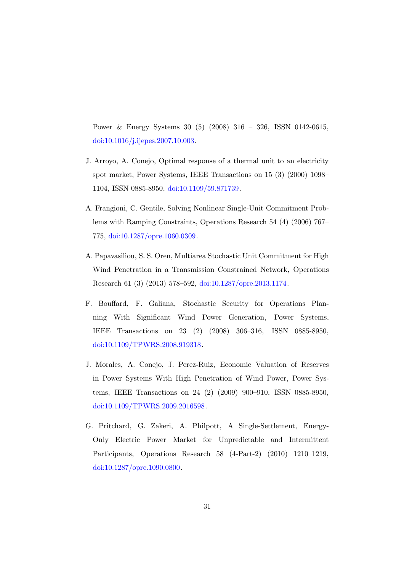Power & Energy Systems 30 (5) (2008) 316 – 326, ISSN 0142-0615, [doi:10.1016/j.ijepes.2007.10.003.](http://dx.doi.org/10.1016/j.ijepes.2007.10.003)

- <span id="page-30-0"></span>J. Arroyo, A. Conejo, Optimal response of a thermal unit to an electricity spot market, Power Systems, IEEE Transactions on 15 (3) (2000) 1098– 1104, ISSN 0885-8950, [doi:10.1109/59.871739.](http://dx.doi.org/10.1109/59.871739)
- <span id="page-30-1"></span>A. Frangioni, C. Gentile, Solving Nonlinear Single-Unit Commitment Problems with Ramping Constraints, Operations Research 54 (4) (2006) 767– 775, [doi:10.1287/opre.1060.0309.](http://dx.doi.org/10.1287/opre.1060.0309)
- <span id="page-30-2"></span>A. Papavasiliou, S. S. Oren, Multiarea Stochastic Unit Commitment for High Wind Penetration in a Transmission Constrained Network, Operations Research 61 (3) (2013) 578–592, [doi:10.1287/opre.2013.1174.](http://dx.doi.org/10.1287/opre.2013.1174)
- <span id="page-30-3"></span>F. Bouffard, F. Galiana, Stochastic Security for Operations Planning With Significant Wind Power Generation, Power Systems, IEEE Transactions on 23 (2) (2008) 306–316, ISSN 0885-8950, [doi:10.1109/TPWRS.2008.919318.](http://dx.doi.org/10.1109/TPWRS.2008.919318)
- <span id="page-30-4"></span>J. Morales, A. Conejo, J. Perez-Ruiz, Economic Valuation of Reserves in Power Systems With High Penetration of Wind Power, Power Systems, IEEE Transactions on 24 (2) (2009) 900–910, ISSN 0885-8950, [doi:10.1109/TPWRS.2009.2016598.](http://dx.doi.org/10.1109/TPWRS.2009.2016598)
- <span id="page-30-5"></span>G. Pritchard, G. Zakeri, A. Philpott, A Single-Settlement, Energy-Only Electric Power Market for Unpredictable and Intermittent Participants, Operations Research 58 (4-Part-2) (2010) 1210–1219, [doi:10.1287/opre.1090.0800.](http://dx.doi.org/10.1287/opre.1090.0800)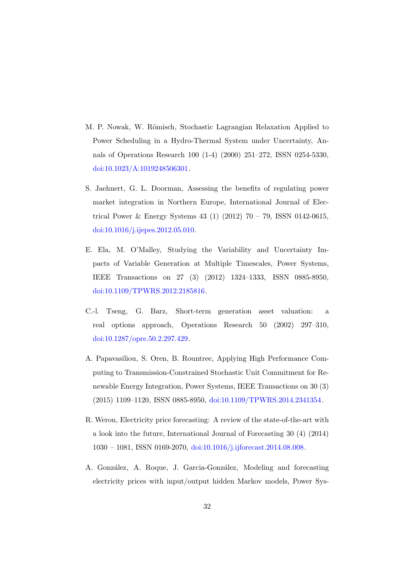- <span id="page-31-0"></span>M. P. Nowak, W. Römisch, Stochastic Lagrangian Relaxation Applied to Power Scheduling in a Hydro-Thermal System under Uncertainty, Annals of Operations Research 100 (1-4) (2000) 251–272, ISSN 0254-5330, [doi:10.1023/A:1019248506301.](http://dx.doi.org/10.1023/A:1019248506301)
- <span id="page-31-1"></span>S. Jaehnert, G. L. Doorman, Assessing the benefits of regulating power market integration in Northern Europe, International Journal of Electrical Power & Energy Systems 43 (1) (2012)  $70 - 79$ , ISSN 0142-0615, [doi:10.1016/j.ijepes.2012.05.010.](http://dx.doi.org/10.1016/j.ijepes.2012.05.010)
- <span id="page-31-2"></span>E. Ela, M. O'Malley, Studying the Variability and Uncertainty Impacts of Variable Generation at Multiple Timescales, Power Systems, IEEE Transactions on 27 (3) (2012) 1324–1333, ISSN 0885-8950, [doi:10.1109/TPWRS.2012.2185816.](http://dx.doi.org/10.1109/TPWRS.2012.2185816)
- <span id="page-31-3"></span>C.-l. Tseng, G. Barz, Short-term generation asset valuation: a real options approach, Operations Research 50 (2002) 297–310, [doi:10.1287/opre.50.2.297.429.](http://dx.doi.org/10.1287/opre.50.2.297.429)
- <span id="page-31-4"></span>A. Papavasiliou, S. Oren, B. Rountree, Applying High Performance Computing to Transmission-Constrained Stochastic Unit Commitment for Renewable Energy Integration, Power Systems, IEEE Transactions on 30 (3) (2015) 1109–1120, ISSN 0885-8950, [doi:10.1109/TPWRS.2014.2341354.](http://dx.doi.org/10.1109/TPWRS.2014.2341354)
- <span id="page-31-5"></span>R. Weron, Electricity price forecasting: A review of the state-of-the-art with a look into the future, International Journal of Forecasting 30 (4) (2014) 1030 – 1081, ISSN 0169-2070, [doi:10.1016/j.ijforecast.2014.08.008.](http://dx.doi.org/10.1016/j.ijforecast.2014.08.008)
- <span id="page-31-6"></span>A. González, A. Roque, J. Garcia-González, Modeling and forecasting electricity prices with input/output hidden Markov models, Power Sys-